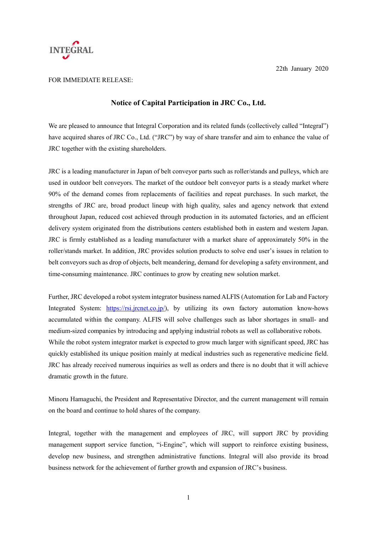

22th January 2020

## FOR IMMEDIATE RELEASE:

## **Notice of Capital Participation in JRC Co., Ltd.**

We are pleased to announce that Integral Corporation and its related funds (collectively called "Integral") have acquired shares of JRC Co., Ltd. ("JRC") by way of share transfer and aim to enhance the value of JRC together with the existing shareholders.

JRC is a leading manufacturer in Japan of belt conveyor parts such as roller/stands and pulleys, which are used in outdoor belt conveyors. The market of the outdoor belt conveyor parts is a steady market where 90% of the demand comes from replacements of facilities and repeat purchases. In such market, the strengths of JRC are, broad product lineup with high quality, sales and agency network that extend throughout Japan, reduced cost achieved through production in its automated factories, and an efficient delivery system originated from the distributions centers established both in eastern and western Japan. JRC is firmly established as a leading manufacturer with a market share of approximately 50% in the roller/stands market. In addition, JRC provides solution products to solve end user's issues in relation to belt conveyors such as drop of objects, belt meandering, demand for developing a safety environment, and time-consuming maintenance. JRC continues to grow by creating new solution market.

Further, JRC developed a robot system integrator business named ALFIS (Automation for Lab and Factory Integrated System: https://rsi.jrcnet.co.jp/), by utilizing its own factory automation know-hows accumulated within the company. ALFIS will solve challenges such as labor shortages in small- and medium-sized companies by introducing and applying industrial robots as well as collaborative robots. While the robot system integrator market is expected to grow much larger with significant speed, JRC has quickly established its unique position mainly at medical industries such as regenerative medicine field. JRC has already received numerous inquiries as well as orders and there is no doubt that it will achieve dramatic growth in the future.

Minoru Hamaguchi, the President and Representative Director, and the current management will remain on the board and continue to hold shares of the company.

Integral, together with the management and employees of JRC, will support JRC by providing management support service function, "i-Engine", which will support to reinforce existing business, develop new business, and strengthen administrative functions. Integral will also provide its broad business network for the achievement of further growth and expansion of JRC's business.